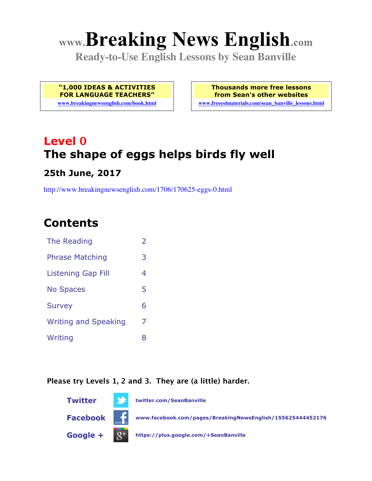# **www.Breaking News English.com**

**Ready-to-Use English Lessons by Sean Banville**

**"1,000 IDEAS & ACTIVITIES FOR LANGUAGE TEACHERS"**

**www.breakingnewsenglish.com/book.html**

**Thousands more free lessons from Sean's other websites www.freeeslmaterials.com/sean\_banville\_lessons.html**

**Level 0 The shape of eggs helps birds fly well**

### **25th June, 2017**

http://www.breakingnewsenglish.com/1706/170625-eggs-0.html

### **Contents**

| The Reading                 | $\overline{\phantom{a}}$ |
|-----------------------------|--------------------------|
| <b>Phrase Matching</b>      | 3                        |
| Listening Gap Fill          | 4                        |
| <b>No Spaces</b>            | 5                        |
| <b>Survey</b>               | 6                        |
| <b>Writing and Speaking</b> | 7                        |
| Writing                     | 8                        |

#### **Please try Levels 1, 2 and 3. They are (a little) harder.**

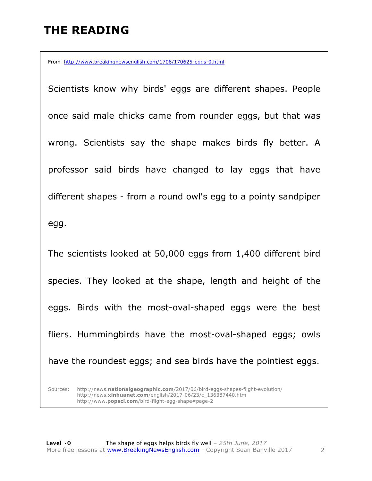### **THE READING**

From http://www.breakingnewsenglish.com/1706/170625-eggs-0.html

Scientists know why birds' eggs are different shapes. People once said male chicks came from rounder eggs, but that was wrong. Scientists say the shape makes birds fly better. A professor said birds have changed to lay eggs that have different shapes - from a round owl's egg to a pointy sandpiper egg.

The scientists looked at 50,000 eggs from 1,400 different bird species. They looked at the shape, length and height of the eggs. Birds with the most-oval-shaped eggs were the best fliers. Hummingbirds have the most-oval-shaped eggs; owls have the roundest eggs; and sea birds have the pointiest eggs.

Sources: http://news.**nationalgeographic.com**/2017/06/bird-eggs-shapes-flight-evolution/ http://news.**xinhuanet.com**/english/2017-06/23/c\_136387440.htm http://www.**popsci.com**/bird-flight-egg-shape#page-2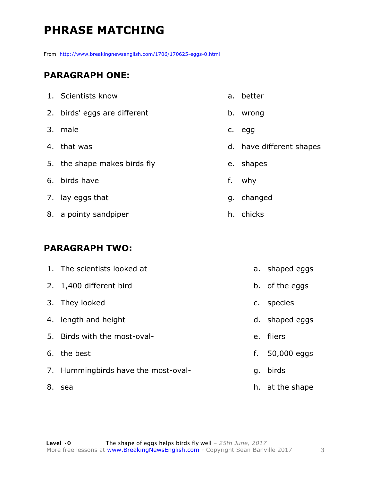### **PHRASE MATCHING**

From http://www.breakingnewsenglish.com/1706/170625-eggs-0.html

#### **PARAGRAPH ONE:**

|    | 1. Scientists know           |    | a. better                |
|----|------------------------------|----|--------------------------|
|    | 2. birds' eggs are different | b. | wrong                    |
|    | 3. male                      | C. | egg                      |
|    | 4. that was                  |    | d. have different shapes |
|    | 5. the shape makes birds fly | e. | shapes                   |
|    | 6. birds have                | f. | why                      |
|    | 7. lay eggs that             |    | g. changed               |
| 8. | a pointy sandpiper           |    | h. chicks                |

#### **PARAGRAPH TWO:**

|    | 1. The scientists looked at         |    | a. shaped eggs  |
|----|-------------------------------------|----|-----------------|
|    | 2. 1,400 different bird             |    | b. of the eggs  |
|    | 3. They looked                      |    | c. species      |
|    | 4. length and height                |    | d. shaped eggs  |
| 5. | Birds with the most-oval-           |    | e. fliers       |
|    | 6. the best                         | f. | 50,000 eggs     |
|    | 7. Hummingbirds have the most-oval- |    | g. birds        |
| 8. | sea                                 |    | h. at the shape |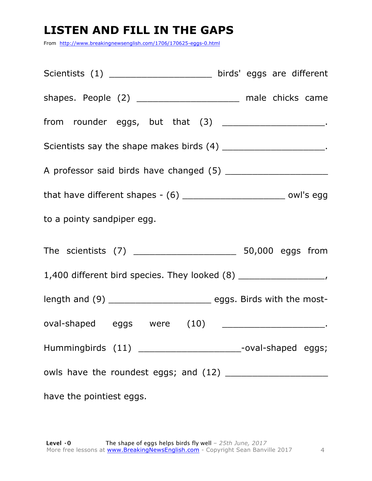### **LISTEN AND FILL IN THE GAPS**

From http://www.breakingnewsenglish.com/1706/170625-eggs-0.html

| Scientists (1) _______________________ birds' eggs are different                                              |  |  |  |  |  |
|---------------------------------------------------------------------------------------------------------------|--|--|--|--|--|
| shapes. People (2) _________________________ male chicks came                                                 |  |  |  |  |  |
| from rounder eggs, but that (3) ______________________________.                                               |  |  |  |  |  |
| Scientists say the shape makes birds (4) ________________________.                                            |  |  |  |  |  |
|                                                                                                               |  |  |  |  |  |
| that have different shapes - $(6)$ _______________________________ owl's egg                                  |  |  |  |  |  |
| to a pointy sandpiper egg.                                                                                    |  |  |  |  |  |
|                                                                                                               |  |  |  |  |  |
|                                                                                                               |  |  |  |  |  |
| length and (9) ________________________________ eggs. Birds with the most-                                    |  |  |  |  |  |
| oval-shaped eggs were (10) __________________________.                                                        |  |  |  |  |  |
| Hummingbirds (11) _______________________--oval-shaped eggs;                                                  |  |  |  |  |  |
|                                                                                                               |  |  |  |  |  |
| have the pointiest eggs. The state of the pointing of the state of the state of the state of the state of the |  |  |  |  |  |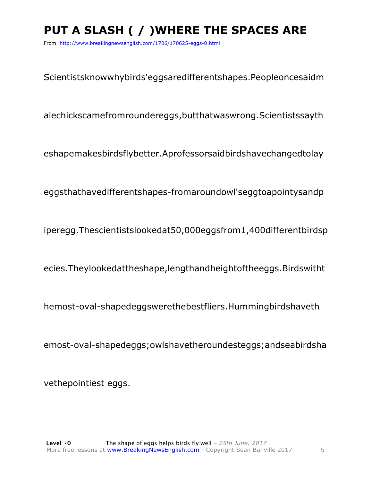## **PUT A SLASH ( / )WHERE THE SPACES ARE**

From http://www.breakingnewsenglish.com/1706/170625-eggs-0.html

Scientistsknowwhybirds'eggsaredifferentshapes.Peopleoncesaidm

alechickscamefromroundereggs,butthatwaswrong.Scientistssayth

eshapemakesbirdsflybetter.Aprofessorsaidbirdshavechangedtolay

eggsthathavedifferentshapes-fromaroundowl'seggtoapointysandp

iperegg.Thescientistslookedat50,000eggsfrom1,400differentbirdsp

ecies.Theylookedattheshape,lengthandheightoftheeggs.Birdswitht

hemost-oval-shapedeggswerethebestfliers.Hummingbirdshaveth

emost-oval-shapedeggs;owlshavetheroundesteggs;andseabirdsha

vethepointiest eggs.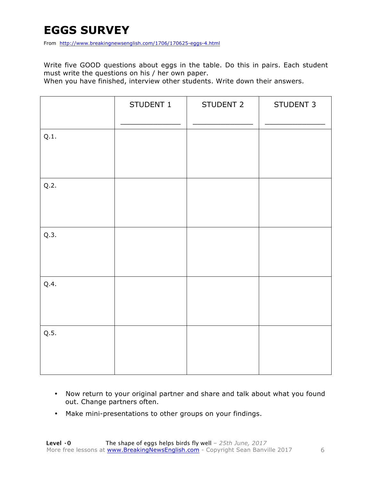### **EGGS SURVEY**

From http://www.breakingnewsenglish.com/1706/170625-eggs-4.html

Write five GOOD questions about eggs in the table. Do this in pairs. Each student must write the questions on his / her own paper.

When you have finished, interview other students. Write down their answers.

|      | STUDENT 1 | STUDENT 2 | STUDENT 3 |
|------|-----------|-----------|-----------|
| Q.1. |           |           |           |
| Q.2. |           |           |           |
| Q.3. |           |           |           |
| Q.4. |           |           |           |
| Q.5. |           |           |           |

- Now return to your original partner and share and talk about what you found out. Change partners often.
- Make mini-presentations to other groups on your findings.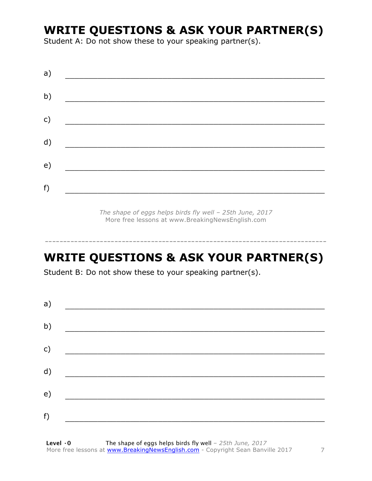### **WRITE QUESTIONS & ASK YOUR PARTNER(S)**

Student A: Do not show these to your speaking partner(s).

*The shape of eggs helps birds fly well – 25th June, 2017* More free lessons at www.BreakingNewsEnglish.com

### **WRITE QUESTIONS & ASK YOUR PARTNER(S)**

-----------------------------------------------------------------------------

Student B: Do not show these to your speaking partner(s).

| a) |  |  |
|----|--|--|
| b) |  |  |
| c) |  |  |
| d) |  |  |
| e) |  |  |
| f) |  |  |
|    |  |  |